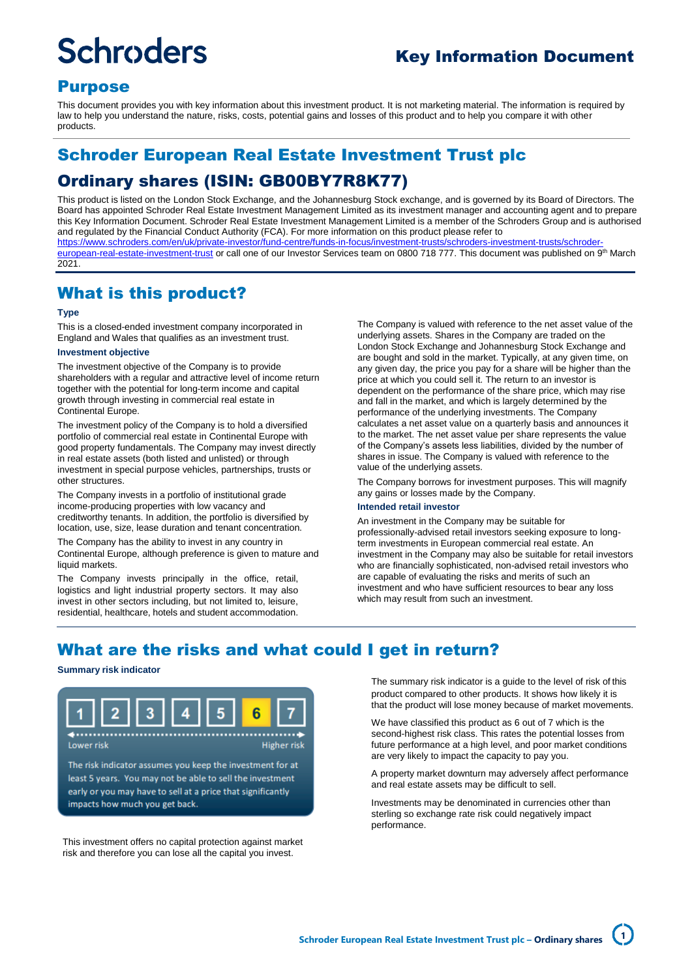# **Schroders**

# Key Information Document

## Purpose

This document provides you with key information about this investment product. It is not marketing material. The information is required by law to help you understand the nature, risks, costs, potential gains and losses of this product and to help you compare it with other products.

# Schroder European Real Estate Investment Trust plc

# Ordinary shares (ISIN: GB00BY7R8K77)

This product is listed on the London Stock Exchange, and the Johannesburg Stock exchange, and is governed by its Board of Directors. The Board has appointed Schroder Real Estate Investment Management Limited as its investment manager and accounting agent and to prepare this Key Information Document. Schroder Real Estate Investment Management Limited is a member of the Schroders Group and is authorised and regulated by the Financial Conduct Authority (FCA). For more information on this product please refer to [https://www.schroders.com/en/uk/private-investor/fund-centre/funds-in-focus/investment-trusts/schroders-investment-trusts/schroder](https://www.schroders.com/en/uk/private-investor/fund-centre/funds-in-focus/investment-trusts/schroders-investment-trusts/schroder-european-real-estate-investment-trust)<u>[european-real-estate-investment-trust](https://www.schroders.com/en/uk/private-investor/fund-centre/funds-in-focus/investment-trusts/schroders-investment-trusts/schroder-european-real-estate-investment-trust)</u> or call one of our Investor Services team on 0800 718 777. This document was published on 9<sup>th</sup> March 2021.

## What is this product?

## **Type**

This is a closed-ended investment company incorporated in England and Wales that qualifies as an investment trust.

## **Investment objective**

The investment objective of the Company is to provide shareholders with a regular and attractive level of income return together with the potential for long-term income and capital growth through investing in commercial real estate in Continental Europe.

The investment policy of the Company is to hold a diversified portfolio of commercial real estate in Continental Europe with good property fundamentals. The Company may invest directly in real estate assets (both listed and unlisted) or through investment in special purpose vehicles, partnerships, trusts or other structures.

The Company invests in a portfolio of institutional grade income-producing properties with low vacancy and creditworthy tenants. In addition, the portfolio is diversified by location, use, size, lease duration and tenant concentration.

The Company has the ability to invest in any country in Continental Europe, although preference is given to mature and liquid markets.

The Company invests principally in the office, retail, logistics and light industrial property sectors. It may also invest in other sectors including, but not limited to, leisure, residential, healthcare, hotels and student accommodation.

The Company is valued with reference to the net asset value of the underlying assets. Shares in the Company are traded on the London Stock Exchange and Johannesburg Stock Exchange and are bought and sold in the market. Typically, at any given time, on any given day, the price you pay for a share will be higher than the price at which you could sell it. The return to an investor is dependent on the performance of the share price, which may rise and fall in the market, and which is largely determined by the performance of the underlying investments. The Company calculates a net asset value on a quarterly basis and announces it to the market. The net asset value per share represents the value of the Company's assets less liabilities, divided by the number of shares in issue. The Company is valued with reference to the value of the underlying assets.

The Company borrows for investment purposes. This will magnify any gains or losses made by the Company.

#### **Intended retail investor**

An investment in the Company may be suitable for professionally-advised retail investors seeking exposure to longterm investments in European commercial real estate. An investment in the Company may also be suitable for retail investors who are financially sophisticated, non-advised retail investors who are capable of evaluating the risks and merits of such an investment and who have sufficient resources to bear any loss which may result from such an investment.

## What are the risks and what could I get in return?

## **Summary risk indicator**



least 5 years. You may not be able to sell the investment early or you may have to sell at a price that significantly impacts how much you get back.

This investment offers no capital protection against market risk and therefore you can lose all the capital you invest.

The summary risk indicator is a guide to the level of risk of this product compared to other products. It shows how likely it is that the product will lose money because of market movements.

We have classified this product as 6 out of 7 which is the second-highest risk class. This rates the potential losses from future performance at a high level, and poor market conditions are very likely to impact the capacity to pay you.

A property market downturn may adversely affect performance and real estate assets may be difficult to sell.

Investments may be denominated in currencies other than sterling so exchange rate risk could negatively impact performance.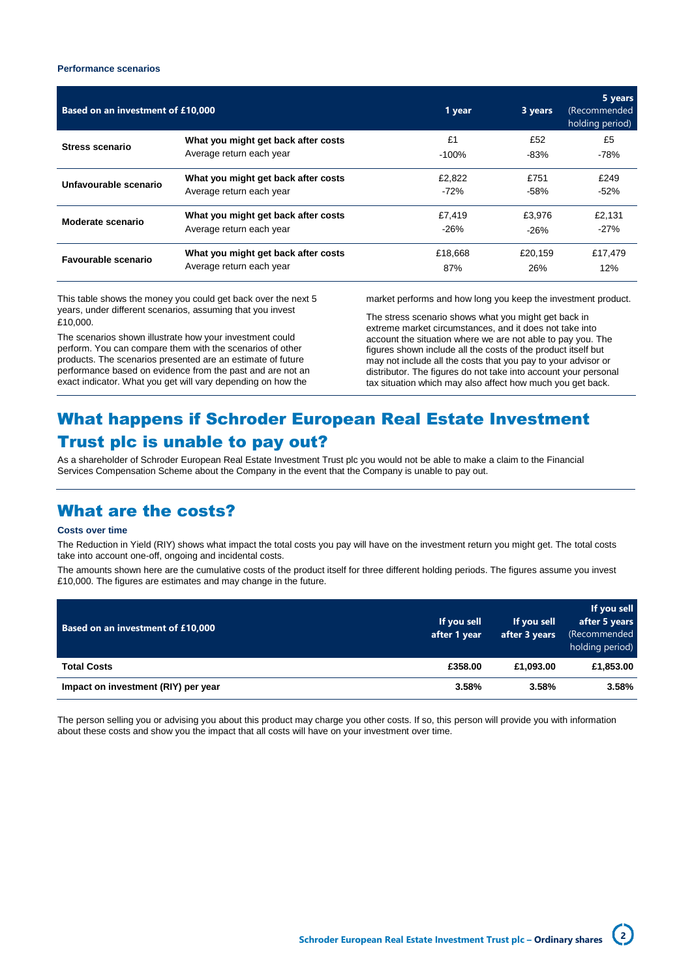## **Performance scenarios**

| Based on an investment of £10,000 |                                     | 1 year   | 3 years | 5 years<br>(Recommended<br>holding period) |
|-----------------------------------|-------------------------------------|----------|---------|--------------------------------------------|
| <b>Stress scenario</b>            | What you might get back after costs | £1       | £52     | £5                                         |
|                                   | Average return each year            | $-100\%$ | -83%    | $-78%$                                     |
| Unfavourable scenario             | What you might get back after costs | £2.822   | £751    | £249                                       |
|                                   | Average return each year            | $-72%$   | $-58%$  | $-52%$                                     |
| Moderate scenario                 | What you might get back after costs | £7.419   | £3.976  | £2.131                                     |
|                                   | Average return each year            | $-26%$   | $-26%$  | $-27%$                                     |
| <b>Favourable scenario</b>        | What you might get back after costs | £18,668  | £20.159 | £17,479                                    |
|                                   | Average return each year            | 87%      | 26%     | 12%                                        |

This table shows the money you could get back over the next 5 years, under different scenarios, assuming that you invest £10,000.

The scenarios shown illustrate how your investment could perform. You can compare them with the scenarios of other products. The scenarios presented are an estimate of future performance based on evidence from the past and are not an exact indicator. What you get will vary depending on how the

market performs and how long you keep the investment product.

The stress scenario shows what you might get back in extreme market circumstances, and it does not take into account the situation where we are not able to pay you. The figures shown include all the costs of the product itself but may not include all the costs that you pay to your advisor or distributor. The figures do not take into account your personal tax situation which may also affect how much you get back.

# What happens if Schroder European Real Estate Investment Trust plc is unable to pay out?

As a shareholder of Schroder European Real Estate Investment Trust plc you would not be able to make a claim to the Financial Services Compensation Scheme about the Company in the event that the Company is unable to pay out.

## What are the costs?

### **Costs over time**

The Reduction in Yield (RIY) shows what impact the total costs you pay will have on the investment return you might get. The total costs take into account one-off, ongoing and incidental costs.

The amounts shown here are the cumulative costs of the product itself for three different holding periods. The figures assume you invest £10,000. The figures are estimates and may change in the future.

| <b>Based on an investment of £10,000</b> | If you sell<br>after 1 year | If you sell<br>after 3 years | If you sell<br>after 5 years<br>(Recommended<br>holding period) |
|------------------------------------------|-----------------------------|------------------------------|-----------------------------------------------------------------|
| <b>Total Costs</b>                       | £358.00                     | £1,093.00                    | £1,853.00                                                       |
| Impact on investment (RIY) per year      | 3.58%                       | 3.58%                        | 3.58%                                                           |

The person selling you or advising you about this product may charge you other costs. If so, this person will provide you with information about these costs and show you the impact that all costs will have on your investment over time.